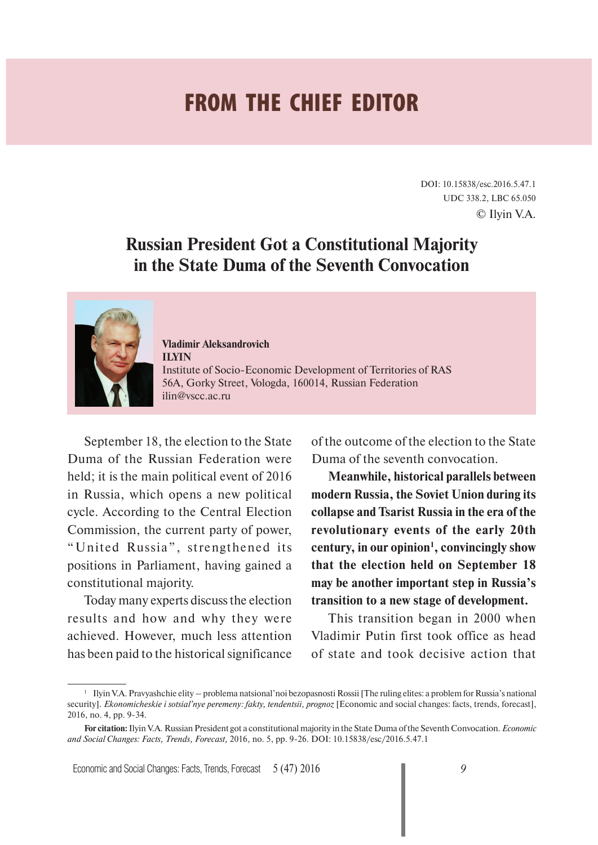## **FROM THE CHIEF EDITOR**

DOI: 10.15838/esc.2016.5.47.1 UDC 338.2, LBC 65.050 © Ilyin V.A.

## **Russian President Got a Constitutional Majority in the State Duma of the Seventh Convocation**



**Vladimir Aleksandrovich ILYIN** Institute of Socio- Economic Development of Territories of RAS 56A, Gorky Street, Vologda, 160014, Russian Federation ilin@vscc.ac.ru

September 18, the election to the State Duma of the Russian Federation were held; it is the main political event of 2016 in Russia, which opens a new political cycle. According to the Central Election Commission, the current party of power, "United Russia", strengthened its positions in Parliament, having gained a constitutional majority.

Today many experts discuss the election results and how and why they were achieved. However, much less attention has been paid to the historical significance of the outcome of the election to the State Duma of the seventh convocation.

**Meanwhile, historical parallels between modern Russia, the Soviet Union during its collapse and Tsarist Russia in the era of the revolutionary events of the early 20th century, in our opinion1 , convincingly show that the election held on September 18 may be another important step in Russia's transition to a new stage of development.** 

This transition began in 2000 when Vladimir Putin first took office as head of state and took decisive action that

<sup>1</sup> Ilyin V.A. Pravyashchie elity – problema natsional'noi bezopasnosti Rossii [The ruling elites: a problem for Russia's national security]. *Ekonomicheskie i sotsial'nye peremeny: fakty, tendentsii, prognoz* [Economic and social changes: facts, trends, forecast], 2016, no. 4, pp. 9-34.

**For citation:** Ilyin V.A. Russian President got a constitutional majority in the State Duma of the Seventh Convocation. *Economic and Social Changes: Facts, Trends, Forecast,* 2016, no. 5, pp. 9-26. DOI: 10.15838/esc/2016.5.47.1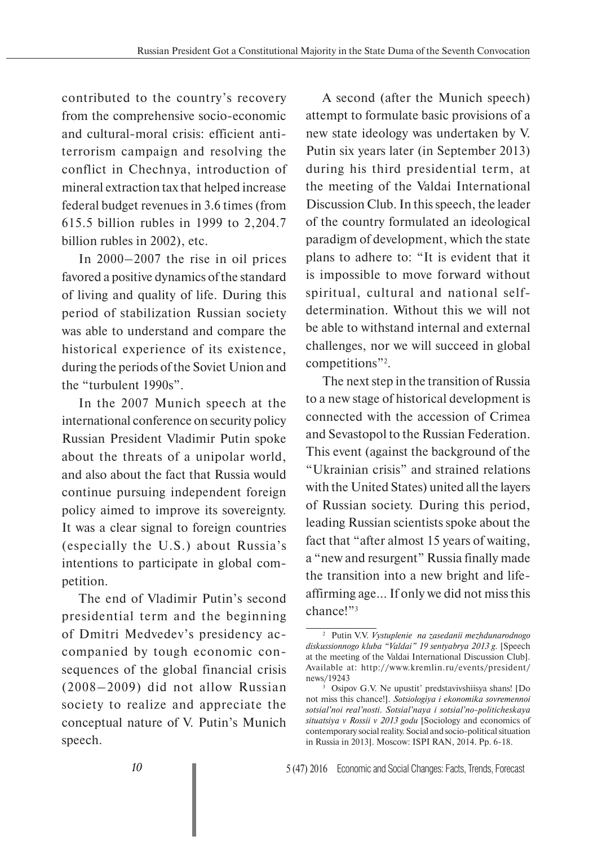contributed to the country's recovery from the comprehensive socio-economic and cultural-moral crisis: efficient antiterrorism campaign and resolving the conflict in Chechnya, introduction of mineral extraction tax that helped increase federal budget revenues in 3.6 times (from 615.5 billion rubles in 1999 to 2,204.7 billion rubles in 2002), etc.

In 2000–2007 the rise in oil prices favored a positive dynamics of the standard of living and quality of life. During this period of stabilization Russian society was able to understand and compare the historical experience of its existence, during the periods of the Soviet Union and the "turbulent 1990s".

In the 2007 Munich speech at the international conference on security policy Russian President Vladimir Putin spoke about the threats of a unipolar world, and also about the fact that Russia would continue pursuing independent foreign policy aimed to improve its sovereignty. It was a clear signal to foreign countries (especially the U.S.) about Russia's intentions to participate in global competition.

The end of Vladimir Putin's second presidential term and the beginning of Dmitri Medvedev's presidency accompanied by tough economic consequences of the global financial crisis (2008–2009) did not allow Russian society to realize and appreciate the conceptual nature of V. Putin's Munich speech.

A second (after the Munich speech) attempt to formulate basic provisions of a new state ideology was undertaken by V. Putin six years later (in September 2013) during his third presidential term, at the meeting of the Valdai International Discussion Club. In this speech, the leader of the country formulated an ideological paradigm of development, which the state plans to adhere to: "It is evident that it is impossible to move forward without spiritual, cultural and national selfdetermination. Without this we will not be able to withstand internal and external challenges, nor we will succeed in global competitions"2 .

The next step in the transition of Russia to a new stage of historical development is connected with the accession of Crimea and Sevastopol to the Russian Federation. This event (against the background of the "Ukrainian crisis" and strained relations with the United States) united all the layers of Russian society. During this period, leading Russian scientists spoke about the fact that "after almost 15 years of waiting, a "new and resurgent" Russia finally made the transition into a new bright and lifeaffirming age... If only we did not miss this chance!"3

<sup>2</sup> Putin V.V. *Vystuplenie na zasedanii mezhdunarodnogo diskussionnogo kluba "Valdai" 19 sentyabrya 2013 g.* [Speech at the meeting of the Valdai International Discussion Club]. Available at: http://www.kremlin.ru/events/president/ news/19243

<sup>3</sup> Osipov G.V. Ne upustit' predstavivshiisya shans! [Do not miss this chance!]. *Sotsiologiya i ekonomika sovremennoi sotsial'noi real'nosti. Sotsial'naya i sotsial'no-politicheskaya situatsiya v Rossii v 2013 godu* [Sociology and economics of contemporary social reality. Social and socio-political situation in Russia in 2013]. Moscow: ISPI RAN, 2014. Pp. 6-18.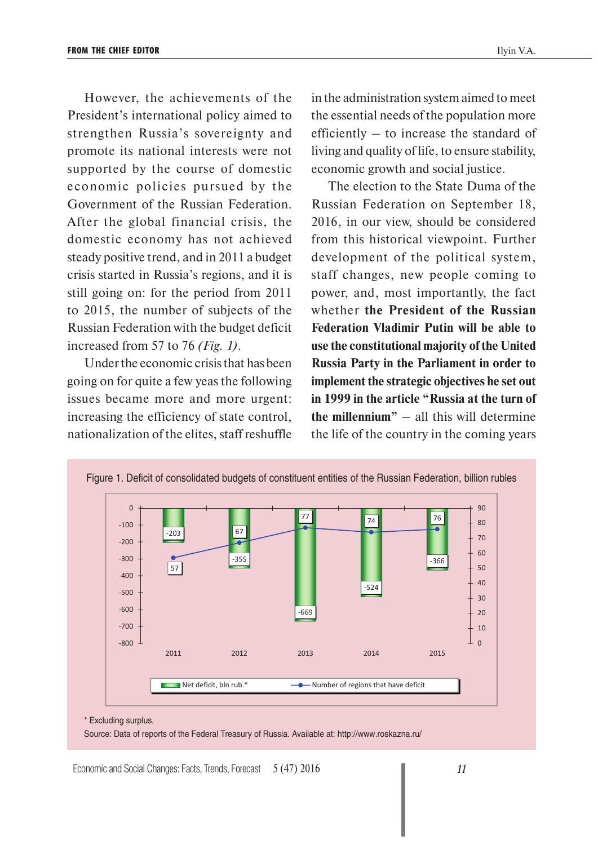However, the achievements of the President's international policy aimed to strengthen Russia's sovereignty and promote its national interests were not supported by the course of domestic economic policies pursued by the Government of the Russian Federation. After the global financial crisis, the domestic economy has not achieved steady positive trend, and in 2011 a budget crisis started in Russia's regions, and it is still going on: for the period from 2011 to 2015, the number of subjects of the Russian Federation with the budget deficit increased from 57 to 76 *(Fig. 1)*.

Under the economic crisis that has been going on for quite a few yeas the following issues became more and more urgent: increasing the efficiency of state control, nationalization of the elites, staff reshuffle in the administration system aimed to meet the essential needs of the population more efficiently – to increase the standard of living and quality of life, to ensure stability, economic growth and social justice.

The election to the State Duma of the Russian Federation on September 18, 2016, in our view, should be considered from this historical viewpoint. Further development of the political system, staff changes, new people coming to power, and, most importantly, the fact whether **the President of the Russian Federation Vladimir Putin will be able to use the constitutional majority of the United Russia Party in the Parliament in order to implement the strategic objectives he set out in 1999 in the article "Russia at the turn of the millennium"** – all this will determine the life of the country in the coming years



Source: Data of reports of the Federal Treasury of Russia. Available at: http://www.roskazna.ru/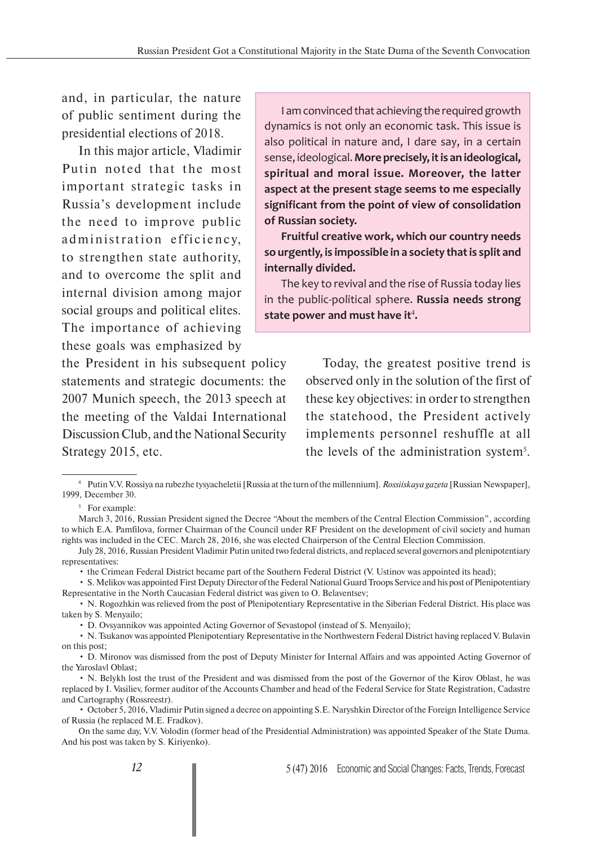and, in particular, the nature of public sentiment during the presidential elections of 2018.

In this major article, Vladimir Putin noted that the most important strategic tasks in Russia's development include the need to improve public ad ministration efficiency, to strengthen state authority, and to overcome the split and internal division among major social groups and political elites. The importance of achieving these goals was emphasized by

the President in his subsequent policy statements and strategic documents: the 2007 Munich speech, the 2013 speech at the meeting of the Valdai International Discussion Club, and the National Security Strategy 2015, etc.

I am convinced that achieving the required growth dynamics is not only an economic task. This issue is also political in nature and, I dare say, in a certain sense, ideological.**More precisely, it is an ideological, spiritual and moral issue. Moreover, the latter aspect at the present stage seems to me especially significant from the point of view of consolidation of Russian society.**

**Fruitful creative work, which our country needs so urgently, is impossible in a society that is split and internally divided.** 

The key to revival and the rise of Russia today lies in the public-political sphere. **Russia needs strong**  state power and must have it<sup>4</sup>.

> Today, the greatest positive trend is observed only in the solution of the first of these key objectives: in order to strengthen the statehood, the President actively implements personnel reshuffle at all the levels of the administration system<sup>5</sup>.

4 Putin V.V. Rossiya na rubezhe tysyacheletii [Russia at the turn of the millennium]. *Rossiiskaya gazeta* [Russian Newspaper], 1999, December 30.

5 For example:

• the Crimean Federal District became part of the Southern Federal District (V. Ustinov was appointed its head);

• S. Melikov was appointed First Deputy Director of the Federal National Guard Troops Service and his post of Plenipotentiary Representative in the North Caucasian Federal district was given to O. Belaventsev;

March 3, 2016, Russian President signed the Decree "About the members of the Central Election Commission", according to which E.A. Pamfilova, former Chairman of the Council under RF President on the development of civil society and human rights was included in the CEC. March 28, 2016, she was elected Chairperson of the Central Election Commission.

July 28, 2016, Russian President Vladimir Putin united two federal districts, and replaced several governors and plenipotentiary representatives:

<sup>•</sup> N. Rogozhkin was relieved from the post of Plenipotentiary Representative in the Siberian Federal District. His place was taken by S. Menyailo;

<sup>•</sup> D. Ovsyannikov was appointed Acting Governor of Sevastopol (instead of S. Menyailo);

<sup>•</sup> N. Tsukanov was appointed Plenipotentiary Representative in the Northwestern Federal District having replaced V. Bulavin on this post;

<sup>•</sup> D. Mironov was dismissed from the post of Deputy Minister for Internal Affairs and was appointed Acting Governor of the Yaroslavl Oblast:

<sup>•</sup> N. Belykh lost the trust of the President and was dismissed from the post of the Governor of the Kirov Oblast, he was replaced by I. Vasiliev, former auditor of the Accounts Chamber and head of the Federal Service for State Registration, Cadastre and Cartography (Rossreestr).

<sup>•</sup> October 5, 2016, Vladimir Putin signed a decree on appointing S.E. Naryshkin Director of the Foreign Intelligence Service of Russia (he replaced M.E. Fradkov).

On the same day, V.V. Volodin (former head of the Presidential Administration) was appointed Speaker of the State Duma. And his post was taken by S. Kiriyenko).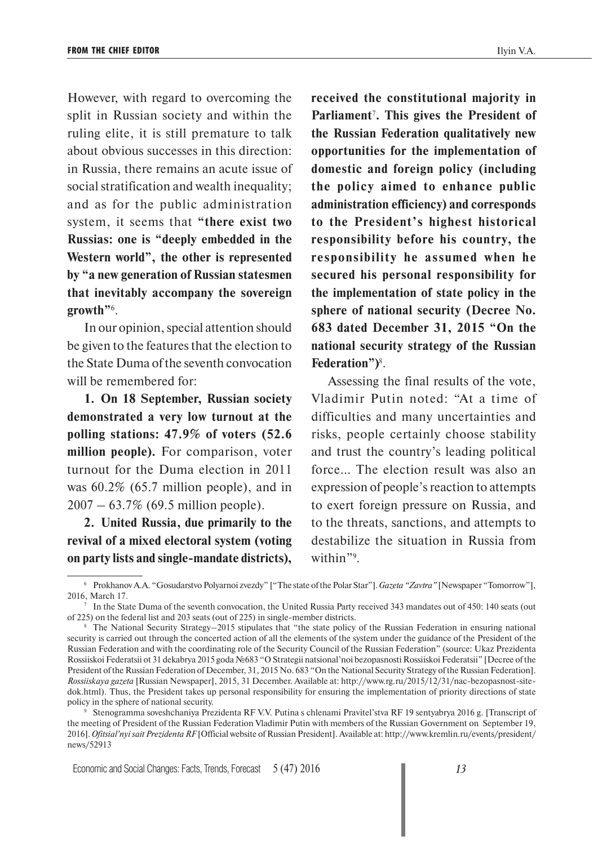However, with regard to overcoming the split in Russian society and within the ruling elite, it is still premature to talk about obvious successes in this direction: in Russia, there remains an acute issue of social stratification and wealth inequality; and as for the public administration system, it seems that **"there exist two Russias: one is "deeply embedded in the Western world", the other is represented by "a new generation of Russian statesmen that inevitably accompany the sovereign growth"**<sup>6</sup> .

In our opinion, special attention should be given to the features that the election to the State Duma of the seventh convocation will be remembered for:

**1. On 18 September, Russian society demonstrated a very low turnout at the polling stations: 47.9% of voters (52.6 million people).** For comparison, voter turnout for the Duma election in 2011 was 60.2% (65.7 million people), and in 2007 – 63.7% (69.5 million people).

**2. United Russia, due primarily to the revival of a mixed electoral system (voting on party lists and single-mandate districts),** 

**received the constitutional majority in Parliament**<sup>7</sup> **. This gives the President of the Russian Federation qualitatively new opportunities for the implementation of domestic and foreign policy (including the policy aimed to enhance public administration efficiency) and corresponds to the President's highest historical responsibility before his country, the responsibility he assumed when he secured his personal responsibility for the implementation of state policy in the sphere of national security (Decree No. 683 dated December 31, 2015 "On the national security strategy of the Russian Federation")**<sup>8</sup> .

Assessing the final results of the vote, Vladimir Putin noted: "At a time of difficulties and many uncertainties and risks, people certainly choose stability and trust the country's leading political force… The election result was also an expression of people's reaction to attempts to exert foreign pressure on Russia, and to the threats, sanctions, and attempts to destabilize the situation in Russia from within"9 .

<sup>6</sup> Prokhanov A.A. "Gosudarstvo Polyarnoi zvezdy" ["The state of the Polar Star"]. *Gazeta "Zavtra"* [Newspaper "Tomorrow"], 2016, March 17.

<sup>7</sup> In the State Duma of the seventh convocation, the United Russia Party received 343 mandates out of 450: 140 seats (out of 225) on the federal list and 203 seats (out of 225) in single-member districts.

<sup>&</sup>lt;sup>8</sup> The National Security Strategy–2015 stipulates that "the state policy of the Russian Federation in ensuring national security is carried out through the concerted action of all the elements of the system under the guidance of the President of the Russian Federation and with the coordinating role of the Security Council of the Russian Federation" (source: Ukaz Prezidenta Rossiiskoi Federatsii ot 31 dekabrya 2015 goda №683 "O Strategii natsional'noi bezopasnosti Rossiiskoi Federatsii" [Decree of the President of the Russian Federation of December, 31, 2015 No. 683 "On the National Security Strategy of the Russian Federation]. *Rossiiskaya gazeta* [Russian Newspaper], 2015, 31 December. Available at: http://www.rg.ru/2015/12/31/nac-bezopasnost-sitedok.html). Thus, the President takes up personal responsibility for ensuring the implementation of priority directions of state policy in the sphere of national security.

<sup>9</sup> Stenogramma soveshchaniya Prezidenta RF V.V. Putina s chlenami Pravitel'stva RF 19 sentyabrya 2016 g. [Transcript of the meeting of President of the Russian Federation Vladimir Putin with members of the Russian Government on September 19, 2016]. *Ofitsial'nyi sait Prezidenta RF* [Official website of Russian President]. Available at: http://www.kremlin.ru/events/president/ news/52913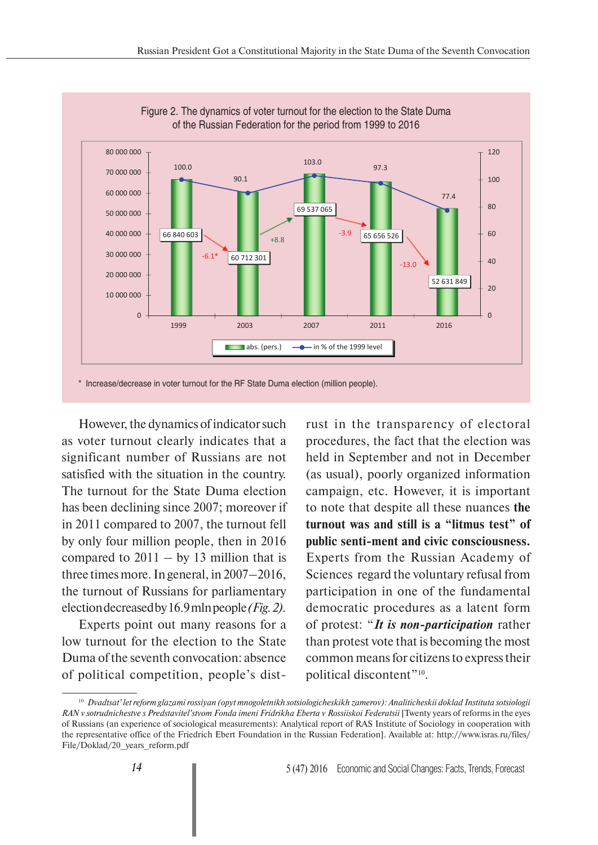



However, the dynamics of indicator such as voter turnout clearly indicates that a significant number of Russians are not satisfied with the situation in the country. The turnout for the State Duma election has been declining since 2007; moreover if in 2011 compared to 2007, the turnout fell by only four million people, then in 2016 compared to  $2011 - by 13$  million that is three times more. In general, in 2007–2016, the turnout of Russians for parliamentary election decreased by 16.9 mln people *(Fig. 2).*

Experts point out many reasons for a low turnout for the election to the State Duma of the seventh convocation: absence of political competition, people's distrust in the transparency of electoral procedures, the fact that the election was held in September and not in December (as usual), poorly organized information campaign, etc. However, it is important to note that despite all these nuances **the turnout was and still is a "litmus test" of public senti-ment and civic consciousness.**  Experts from the Russian Academy of Sciences regard the voluntary refusal from participation in one of the fundamental democratic procedures as a latent form of protest: "*It is non-participation* rather than protest vote that is becoming the most common means for citizens to express their political discontent"10.

<sup>10</sup> *Dvadtsat' let reform glazami rossiyan (opyt mnogoletnikh sotsiologicheskikh zamerov): Analiticheskii doklad Instituta sotsiologii RAN v sotrudnichestve s Predstavitel'stvom Fonda imeni Fridrikha Eberta v Rossiiskoi Federatsii* [Twenty years of reforms in the eyes of Russians (an experience of sociological measurements): Analytical report of RAS Institute of Sociology in cooperation with the representative office of the Friedrich Ebert Foundation in the Russian Federation]. Available at: http://www.isras.ru/files/ File/Doklad/20\_years\_reform.pdf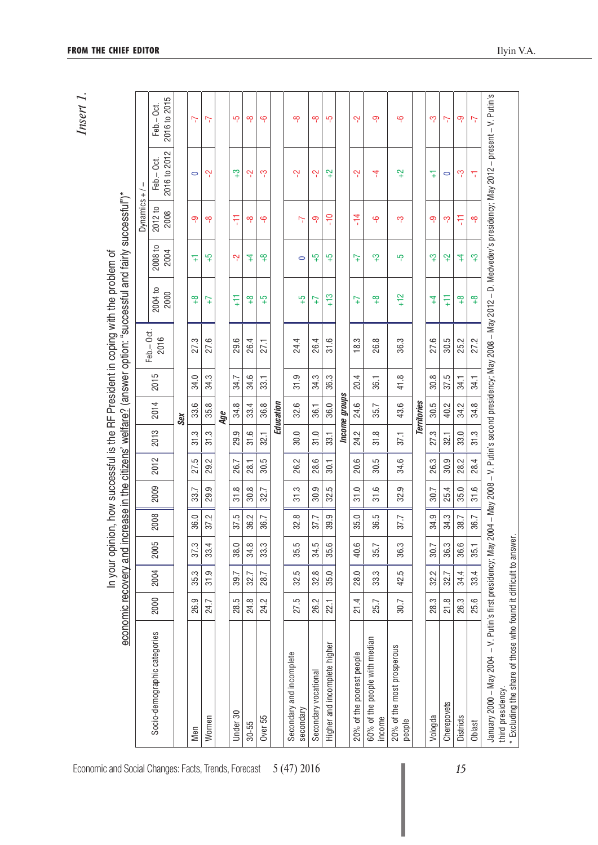| í<br>t<br>٦ |  |
|-------------|--|

|                                                                                      | economic recovery and in |      |      |      |                 |          |                |                 |          | crease in the citizens' welfare? (answer option: "successful and fairly successful")* |                 |                 |                 |                                                                                                                                |                           |
|--------------------------------------------------------------------------------------|--------------------------|------|------|------|-----------------|----------|----------------|-----------------|----------|---------------------------------------------------------------------------------------|-----------------|-----------------|-----------------|--------------------------------------------------------------------------------------------------------------------------------|---------------------------|
|                                                                                      |                          |      |      |      |                 |          |                |                 |          | Feb.-Oct.                                                                             |                 |                 | Dynamics $+$ /  | $\mathbf{I}$                                                                                                                   |                           |
| Socio-demographic categories                                                         | 2000                     | 2004 | 2005 | 2008 | 2009            | 2012     | 2013           | 2014            | 5<br>201 | 2016                                                                                  | 2004 to<br>2000 | 2008 to<br>2004 | 2012 to<br>2008 | 2016 to 2012<br>Feb.-Oct.                                                                                                      | 2016 to 2015<br>Feb.-Oct. |
|                                                                                      |                          |      |      |      |                 |          |                | Sex             |          |                                                                                       |                 |                 |                 |                                                                                                                                |                           |
| Men                                                                                  | 26.9                     | 35.3 | 37.3 | 36.0 | 33.7            | بت<br>27 | ς.<br>ಸ        | 33.6            | 34.0     | 27.3                                                                                  | ఇ               | 4               | တု              | $\circ$                                                                                                                        | Ŀ                         |
| Women                                                                                | 24.7                     | 31.9 | 33.4 | 37.2 | တ<br>29.        | Ņ<br>29. | c.<br>5        | $\infty$<br>35. | 34.3     | 27.6                                                                                  | $\ddot{t}$      | $\frac{5}{4}$   | ထု              | ٻ                                                                                                                              | 7                         |
|                                                                                      |                          |      |      |      |                 |          |                | Age             |          |                                                                                       |                 |                 |                 |                                                                                                                                |                           |
| Under 30                                                                             | 28.5                     | 39.7 | 38.0 | 37.5 | $\infty$<br>5   | 26.7     | တ<br>29.       | 34.8            | 34.7     | 29.6                                                                                  | H               | ٻ               | 두               | က္                                                                                                                             | ယှ                        |
| $30 - 55$                                                                            | 24.8                     | 32.7 | 34.8 | 36.2 | $\infty$<br>30. | 28.1     | 31.6           | 33.4            | 34.6     | 26.4                                                                                  | ఇ               | 7               | ထု              | Ņ                                                                                                                              | ထု                        |
| Over 55                                                                              | 24.2                     | 28.7 | 33.3 | 36.7 | Ľ<br>ಜ.         | 30.5     | 32.1           | 36.8            | 33.1     | 27,1                                                                                  | ယ္              | ₽               | ٩               | ကု                                                                                                                             | မှ                        |
|                                                                                      |                          |      |      |      |                 |          |                | Education       |          |                                                                                       |                 |                 |                 |                                                                                                                                |                           |
| Secondary and incomplete<br>secondary                                                | 27.5                     | 32.5 | 35.5 | 32.8 | 31.3            | Ś,<br>8. | Q<br>30.       | 32.6            | 31.9     | 24.4                                                                                  | ယ္              | $\circ$         | Ŀ               | بہ                                                                                                                             | ထု                        |
| Secondary vocational                                                                 | 26.2                     | 32.8 | 34.5 | 37.7 | တ<br>ട്റ        | 28.6     | 31.0           | 36.1            | 34.3     | 26.4                                                                                  | $\overline{1}$  | $\frac{5}{4}$   | ၐု              | ٻ                                                                                                                              | ထု                        |
| Higher and incomplete higher                                                         | 22.1                     | 35.0 | 35.6 | 39.9 | 5<br>ಜ.         | $-30.1$  | 33.1           | 36.0            | 36.3     | 31.6                                                                                  | က<br>4          | ယ္              | $\frac{1}{2}$   | $\ddot{ }$                                                                                                                     | ယှ                        |
|                                                                                      |                          |      |      |      |                 |          |                | Income groups   |          |                                                                                       |                 |                 |                 |                                                                                                                                |                           |
| 20% of the poorest people                                                            | 21.4                     | 28.0 | 40.6 | 35.0 | 31.0            | ِ<br>20. | 24.2           | 24.6            | 20.4     | က<br>$\frac{1}{2}$                                                                    | $\ddot{1}$      | $\ddot{1}$      | $-14$           | ٻ                                                                                                                              | Ņ                         |
| 60% of the people with median<br>income                                              | 25.7                     | 33.3 | 35.7 | 36.5 | 31.6            | 30.5     | 31.8           | 35.7            | 36.1     | 26.8                                                                                  | $\frac{8}{1}$   | က္              | ٩               | 4                                                                                                                              | တု                        |
| 20% of the most prosperous<br>people                                                 | 30.7                     | 42.5 | 36.3 | 37.7 | တ<br>್ಲ.        | ِ<br>र्ऋ | 37.1           | 43.6            | 41.8     | 36.3                                                                                  | $+12$           | ယှ              | ကု              | $\ddot{ }$                                                                                                                     | မှ                        |
|                                                                                      |                          |      |      |      |                 |          |                | Territories     |          |                                                                                       |                 |                 |                 |                                                                                                                                |                           |
| Vologda                                                                              | 28.3                     | 32.2 | 30.7 | 34.9 | 30.7            | 26.3     | 27.3           | 30.5            | 30.8     | 27.6                                                                                  | 4               | က္              | ၜ               | 4                                                                                                                              | ကို                       |
| Cherepovets                                                                          | 21.8                     | 32.7 | 36.3 | 34.3 | 25.4            | 30.9     | 32.1           | 40.2            | 37.5     | 30.5                                                                                  | Ë               | $\ddot{ }$      | ကု              | $\circ$                                                                                                                        | 7                         |
| <b>Districts</b>                                                                     | 26.3                     | 34.4 | 36.6 | 38.7 | 35.0            | Ņ<br>28. | $\circ$<br>33. | 34.2            | 34.1     | 25.2                                                                                  | $\frac{8}{1}$   | 4               | 두               | ကု                                                                                                                             | တု                        |
| Oblast                                                                               | 25.6                     | 33.4 | 35.1 | 36.7 | 31.6            | 28.4     | 31.3           | 34.8            | 34.1     | 27.2                                                                                  | $\frac{8}{5}$   | က္              | ထို             | π                                                                                                                              | 7                         |
| January 2000 - May 2004 - V. Putin's first presidency; May 2                         |                          |      |      |      |                 |          |                |                 |          |                                                                                       |                 |                 |                 | 004 – May 2008 – V. Putin's second presidency; May 2008 – May 2012 – D. Medvedev's presidency; May 2012 – present – V. Putin's |                           |
| * Excluding the share of those who found it difficult to answer<br>third presidency. |                          |      |      |      |                 |          |                |                 |          |                                                                                       |                 |                 |                 |                                                                                                                                |                           |

Economic and Social Changes: Facts, Trends, Forecast 5 (47) 2016 **15**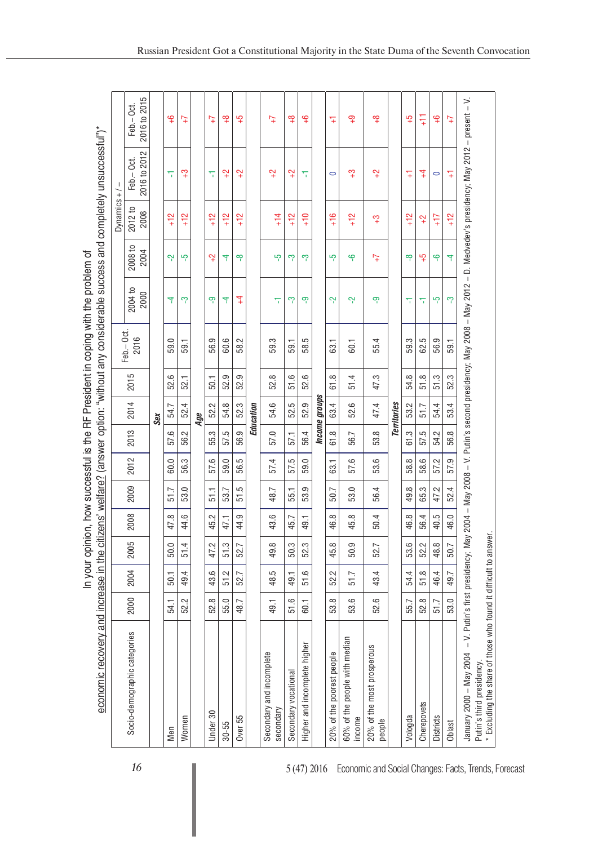| economic recovery and increase in the citizens' welfare? (answer option: "without any considerable success and completely unsuccessful")* |                                  |      |      |                 |                    |      |          |                      |      |                                                                        | In your opinion, how successful is the RF President in coping with the problem of |                  |                 |                                                     |                           |
|-------------------------------------------------------------------------------------------------------------------------------------------|----------------------------------|------|------|-----------------|--------------------|------|----------|----------------------|------|------------------------------------------------------------------------|-----------------------------------------------------------------------------------|------------------|-----------------|-----------------------------------------------------|---------------------------|
|                                                                                                                                           |                                  |      |      |                 |                    |      |          |                      |      | Feb.-Oct.                                                              |                                                                                   |                  | Dynamics +      |                                                     |                           |
| Socio-demographic categories                                                                                                              | 2000                             | 2004 | 2005 | 2008            | 2009               | 2012 | 2013     | 2014                 | 2015 | 2016                                                                   | 2004 to<br>2000                                                                   | 2008 to<br>2004  | 2012 to<br>2008 | 2016 to 2012<br>Feb. - Oct.                         | 2016 to 2015<br>Feb.-Oct. |
|                                                                                                                                           |                                  |      |      |                 |                    |      |          | Sex                  |      |                                                                        |                                                                                   |                  |                 |                                                     |                           |
| Men                                                                                                                                       | 54.1                             | 50.1 | 50.0 | 47.8            | 51.7               | 60.0 | 57.6     | 54.7                 | 52.6 | 59.0                                                                   | 4                                                                                 | Ņ                | $+12$           | π                                                   | $\frac{Q}{T}$             |
| Women                                                                                                                                     | 52.2                             | 49.4 | 51.4 | 44.6            | 53.0               | 56.3 | 56.2     | 52.4                 | 52.1 | 59.1                                                                   | ကု                                                                                | ယှ               | $+12$           | က္                                                  | $\overline{t}$            |
|                                                                                                                                           |                                  |      |      |                 |                    |      |          | Age                  |      |                                                                        |                                                                                   |                  |                 |                                                     |                           |
| Under 30                                                                                                                                  | 52.8                             | 43.6 | 47.2 | 2<br>45.        | 51.1               | 57.6 | 55.3     | 2<br>52.             | 50.1 | 56.9                                                                   | တု                                                                                | $\overline{a}$   | $+12$           | π                                                   | $\overline{t}$            |
| $30 - 55$                                                                                                                                 | 55.0                             | 51.2 | 51.3 | 47,1            | 53.7               | 59.0 | 57.5     | 54.8                 | 52.9 | 60.6                                                                   | 4                                                                                 | 4                | $+12$           | $\ddot{ }$                                          | $\frac{8}{1}$             |
| Over 55                                                                                                                                   | 48.7                             | 52.7 | 52.7 | ب<br>44.        | زما<br>5           | 56.5 | တ<br>56. | 52.3                 | 52.9 | 58.2                                                                   | $\overline{4}$                                                                    | ထု               | $+12$           | $\ddot{ }$                                          | ယ္                        |
|                                                                                                                                           |                                  |      |      |                 |                    |      |          | Education            |      |                                                                        |                                                                                   |                  |                 |                                                     |                           |
| Secondary and incomplete<br>secondary                                                                                                     | 49.1                             | 48.5 | 49.8 | 43.6            | 48.7               | 57.4 | 57.0     | 54.6                 | 52.8 | 59.3                                                                   | π                                                                                 | ယှ               | $+14$           | $\ddot{ }$                                          | $\overline{t}$            |
| Secondary vocational                                                                                                                      | 51.6                             | 49.1 | 50.3 | 45.7            | 55.1               | 57.5 | 57,1     | 52.5                 | 51.6 | 59.1                                                                   | ကု                                                                                | ကု               | $+12$           | $\ddot{ }$                                          | $\frac{8}{1}$             |
| Higher and incomplete higher                                                                                                              | <b>60.1</b>                      | 51.6 | 52.3 | 49.1            | ب<br>ಣ.            | 59.0 | 56.4     | 52.9                 | 52.6 | 58.5                                                                   | တု                                                                                | ကု               | $\frac{0}{1}$   | π                                                   | ڝٕ                        |
|                                                                                                                                           |                                  |      |      |                 |                    |      |          | <b>Income</b> groups |      |                                                                        |                                                                                   |                  |                 |                                                     |                           |
| 20% of the poorest people                                                                                                                 | 53.8                             | 52.2 | 45.8 | $\infty$<br>46. | 50.7               | 63.1 | 61.8     | 63.4                 | 61.8 | 63.1                                                                   | ٻ                                                                                 | ယ္               | ဖ<br>토          | $\circ$                                             | $\overline{+}$            |
| 60% of the people with median<br>income                                                                                                   | 53.6                             | 51.7 | 50.9 | 45.8            | 53.0               | 57.6 | 56.7     | 52.6                 | 51.4 | 60.1                                                                   | بہ                                                                                | မှ               | $+12$           | က္                                                  | ဂ္                        |
| 20% of the most prosperous<br>people                                                                                                      | 52.6                             | 43.4 | 52.7 | 50.4            | 56.4               | 53.6 | 53.8     | 47.4                 | 47.3 | 55.4                                                                   | တု                                                                                | $\overline{t}$   | က္              | $\ddot{ }$                                          | ₽                         |
|                                                                                                                                           |                                  |      |      |                 |                    |      |          | Territories          |      |                                                                        |                                                                                   |                  |                 |                                                     |                           |
| Vologda                                                                                                                                   | 55.7                             | 54.4 | 53.6 | 46.8            | ∞<br>$\frac{1}{9}$ | 58.8 | က္<br>5  | 53.2                 | 54.8 | 59.3                                                                   | π                                                                                 | ထု               | $+12$           | $\overline{+}$                                      | လှု                       |
| Cherepovets                                                                                                                               | 52.8                             | 51.8 | 52.2 | 56.4            | 65.3               | 58.6 | 57.5     | 51.7                 | 51.8 | 62.5                                                                   | π                                                                                 | $\mathfrak{c}_+$ | $\ddot{ }$      | $\ddagger$                                          | F                         |
| Districts                                                                                                                                 | 51.7                             | 46.4 | 48.8 | 40.5            | 47.2               | 57.2 | 54.2     | 54.4                 | 51.3 | 56.9                                                                   | ယူ                                                                                | ٩                | $+17$           | $\circ$                                             | $\frac{Q}{+}$             |
| Oblast                                                                                                                                    | 53.0                             | 49.7 | 50.7 | 46.0            | 52.4               | 57.9 | 56.8     | 53.4                 | 52.3 | 59.1                                                                   | ကု                                                                                | 4                | $+12$           | 4                                                   | $\overline{t}$            |
| January 2000 - May 2004                                                                                                                   | - V. Putin's first presidency; M |      |      |                 |                    |      |          |                      |      | ay 2004 - May 2008 - V. Putin's second presidency; May 2008 - May 2012 |                                                                                   |                  |                 | - D. Medvedev's presidency; May 2012 - present - V. |                           |
| * Excluding the share of those who found it difficult to answer.<br>Putin's third presidency.                                             |                                  |      |      |                 |                    |      |          |                      |      |                                                                        |                                                                                   |                  |                 |                                                     |                           |
|                                                                                                                                           |                                  |      |      |                 |                    |      |          |                      |      |                                                                        |                                                                                   |                  |                 |                                                     |                           |

16 **16** 5 (47) 2016 Economic and Social Changes: Facts, Trends, Forecast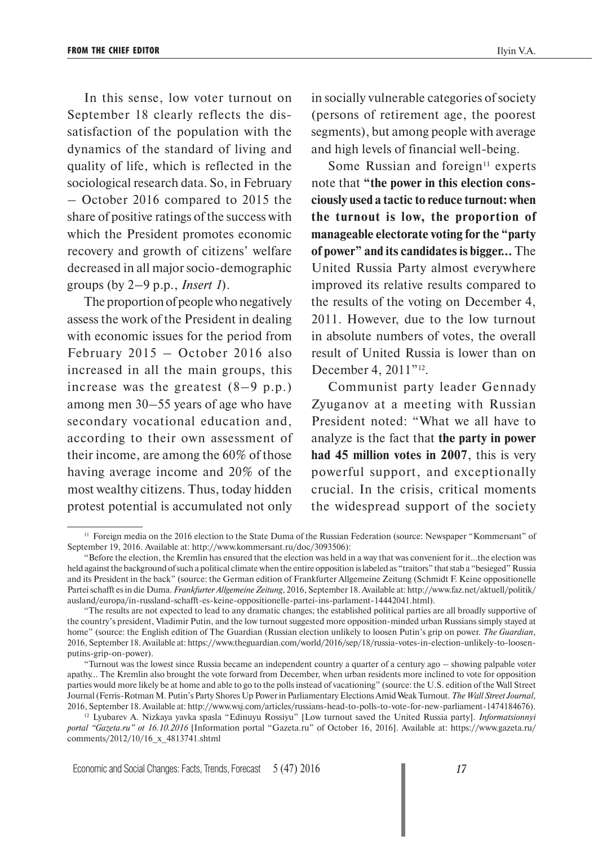In this sense, low voter turnout on September 18 clearly reflects the dissatisfaction of the population with the dynamics of the standard of living and quality of life, which is reflected in the sociological research data. So, in February – October 2016 compared to 2015 the share of positive ratings of the success with which the President promotes economic recovery and growth of citizens' welfare decreased in all major socio-demographic groups (by 2–9 p.p., *Insert 1*).

The proportion of people who negatively assess the work of the President in dealing with economic issues for the period from February 2015 – October 2016 also increased in all the main groups, this increase was the greatest  $(8-9 p.p.)$ among men 30–55 years of age who have secondary vocational education and, according to their own assessment of their income, are among the 60% of those having average income and 20% of the most wealthy citizens. Thus, today hidden protest potential is accumulated not only

in socially vulnerable categories of society (persons of retirement age, the poorest segments), but among people with average and high levels of financial well-being.

Some Russian and foreign $11$  experts note that **"the power in this election consciously used a tactic to reduce turnout: when the turnout is low, the proportion of manageable electorate voting for the "party of power" and its candidates is bigger…** The United Russia Party almost everywhere improved its relative results compared to the results of the voting on December 4, 2011. However, due to the low turnout in absolute numbers of votes, the overall result of United Russia is lower than on December 4, 2011"<sup>12</sup>.

Communist party leader Gennady Zyuganov at a meeting with Russian President noted: "What we all have to analyze is the fact that **the party in power had 45 million votes in 2007**, this is very powerful support, and exceptionally crucial. In the crisis, critical moments the widespread support of the society

<sup>&</sup>lt;sup>11</sup> Foreign media on the 2016 election to the State Duma of the Russian Federation (source: Newspaper "Kommersant" of September 19, 2016. Available at: http://www.kommersant.ru/doc/3093506):

<sup>&</sup>quot;Before the election, the Kremlin has ensured that the election was held in a way that was convenient for it...the election was held against the background of such a political climate when the entire opposition is labeled as "traitors" that stab a "besieged" Russia and its President in the back" (source: the German edition of Frankfurter Allgemeine Zeitung (Schmidt F. Keine oppositionelle Partei schafft es in die Duma. *Frankfurter Allgemeine Zeitung*, 2016, September 18. Available at: http://www.faz.net/aktuell/politik/ ausland/europa/in-russland-schafft-es-keine-oppositionelle-partei-ins-parlament-14442041.html).

<sup>&</sup>quot;The results are not expected to lead to any dramatic changes; the established political parties are all broadly supportive of the country's president, Vladimir Putin, and the low turnout suggested more opposition-minded urban Russians simply stayed at home" (source: the English edition of The Guardian (Russian election unlikely to loosen Putin's grip on power. *The Guardian*, 2016, September 18. Available at: https://www.theguardian.com/world/2016/sep/18/russia-votes-in-election-unlikely-to-loosenputins-grip-on-power).

<sup>&</sup>quot;Turnout was the lowest since Russia became an independent country a quarter of a century ago – showing palpable voter apathy… The Kremlin also brought the vote forward from December, when urban residents more inclined to vote for opposition parties would more likely be at home and able to go to the polls instead of vacationing" (source: the U.S. edition of the Wall Street Journal (Ferris-Rotman M. Putin's Party Shores Up Power in Parliamentary Elections Amid Weak Turnout. *The Wall Street Journal*, 2016, September 18. Available at: http://www.wsj.com/articles/russians-head-to-polls-to-vote-for-new-parliament-1474184676).

<sup>12</sup> Lyubarev A. Nizkaya yavka spasla "Edinuyu Rossiyu" [Low turnout saved the United Russia party]. *Informatsionnyi portal "Gazeta.ru" ot 16.10.2016* [Information portal "Gazeta.ru" of October 16, 2016]. Available at: https://www.gazeta.ru/ comments/2012/10/16\_x\_4813741.shtml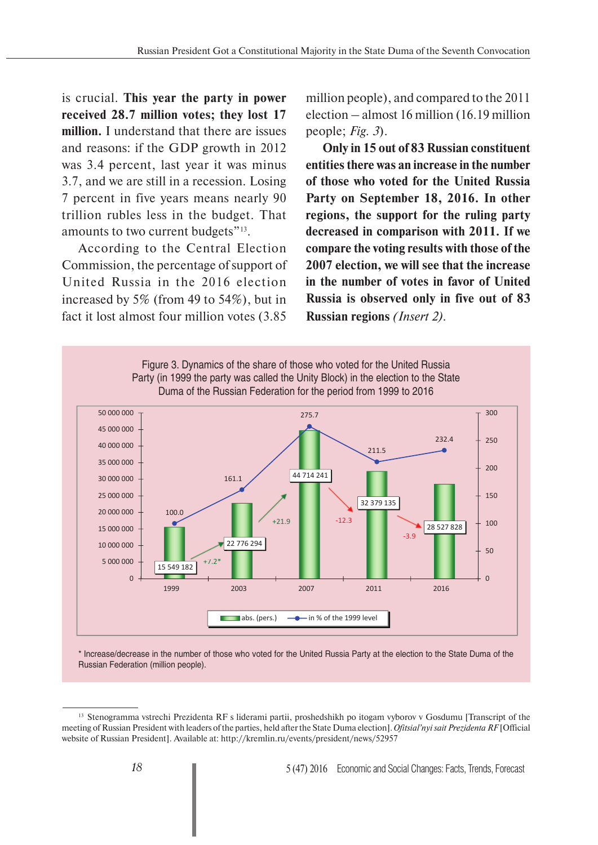is crucial. **This year the party in power received 28.7 million votes; they lost 17 million.** I understand that there are issues and reasons: if the GDP growth in 2012 was 3.4 percent, last year it was minus 3.7, and we are still in a recession. Losing 7 percent in five years means nearly 90 trillion rubles less in the budget. That amounts to two current budgets"<sup>13</sup>.

According to the Central Election Commission, the percentage of support of United Russia in the 2016 election increased by 5% (from 49 to 54%), but in fact it lost almost four million votes (3.85

million people), and compared to the 2011 election – almost 16 million (16.19 million people; *Fig. 3*).

**Only in 15 out of 83 Russian constituent entities there was an increase in the number of those who voted for the United Russia Party on September 18, 2016. In other regions, the support for the ruling party decreased in comparison with 2011. If we compare the voting results with those of the 2007 election, we will see that the increase in the number of votes in favor of United Russia is observed only in five out of 83 Russian regions** *(Insert 2).*



\* Increase/decrease in the number of those who voted for the United Russia Party at the election to the State Duma of the Russian Federation (million people).

<sup>&</sup>lt;sup>13</sup> Stenogramma vstrechi Prezidenta RF s liderami partii, proshedshikh po itogam vyborov v Gosdumu [Transcript of the meeting of Russian President with leaders of the parties, held after the State Duma election]. *Ofitsial'nyi sait Prezidenta RF* [Official website of Russian President]. Available at: http://kremlin.ru/events/president/news/52957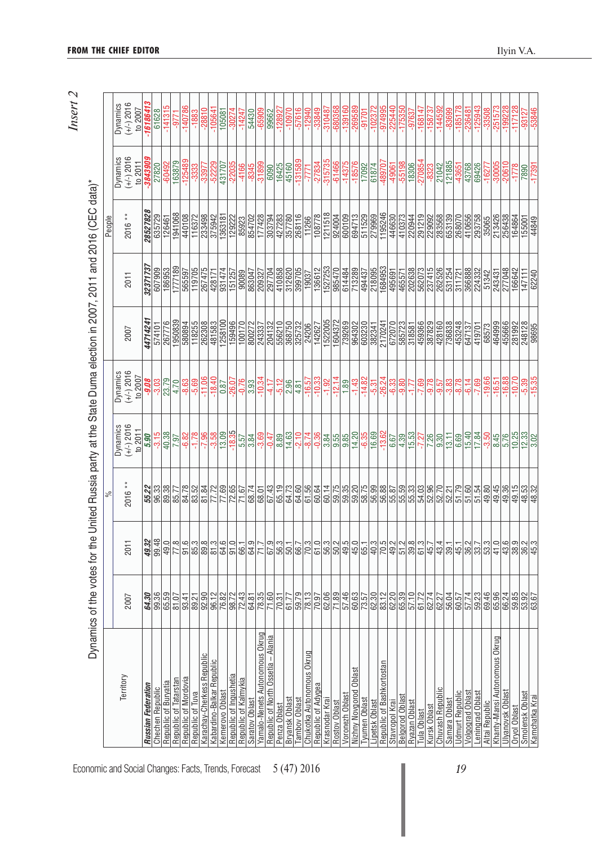|                                       | Dynamics of the votes for the |                     | వ్                              | United Russia party at the State Duma election in 2007, 2011 and 2016 (CEC data)* |                                     |                   |                            | People                     |                                             |                                     |
|---------------------------------------|-------------------------------|---------------------|---------------------------------|-----------------------------------------------------------------------------------|-------------------------------------|-------------------|----------------------------|----------------------------|---------------------------------------------|-------------------------------------|
| Territory                             | 2007                          | 2011                | $2016**$                        | $(+/-)$ 2016<br>Dynamics<br>to 2011                                               | $(+/-)$ 2016<br>Dynamics<br>to 2007 | 2007              | 2011                       | 2016 **                    | $(+/-) 2016$<br>Dynamics<br>to 2011         | $(+/-)$ 2016<br>Dynamics<br>to 2007 |
| Russian Federation                    | 64.30                         | 49.32               | 55.22                           | 5.90                                                                              | -9.08                               | 4471424           | 3237173                    | 28527828                   | -384390                                     | -16186413                           |
| Chechen Republic                      | 99.36                         | 99.48               |                                 | $-3.15$                                                                           |                                     | 574101            | 607909                     | 635729                     | 27820                                       | 61628                               |
| Republic of Buryatia                  | 65.59                         | 49.0                | 86.38<br>89.38<br>85.77         | 40.38                                                                             | $-3.03$<br>$23.79$                  | 267776            | 186953                     | 126461                     | -60492                                      | $-141315$                           |
| Republic of Tatarstar                 | 81.07                         | 77.8                |                                 | 7.97                                                                              | 4.70                                | 1950839           | 1777189                    | 1941068                    | 163879                                      | -9771                               |
| Republic of Mordovia                  | 93.41                         | 91.6                | 84.78                           | $-6.82$                                                                           | $-8.63$                             | 580894            | 565597                     | 440108                     | $-125489$                                   | $-140786$                           |
| Republic of Tuva                      |                               | 85.3                |                                 | $\frac{96.2}{82.1}$                                                               | $-5.69$                             | 118255            | 119705                     | 116372                     |                                             | $-1883$                             |
| Karachay-Cherkess Republic            | 89.21                         | 89.8                | 83.52<br>81.52<br>77.72         |                                                                                   | $-11.06$                            | 262308            | 267475                     | 233498                     | $-3333$<br>$-33977$<br>$-52229$<br>$431707$ | $-28810$                            |
| Kabardino-Balkar Republic             | 96.12                         | 81.3                |                                 | $-3.58$                                                                           | $-18.40$                            | 481583            | 428171                     | 375942                     |                                             | $-10564$ <sup>-</sup>               |
| Kemerovo Oblast                       | 76.82                         | 64.6                | 77.69                           | 13.09                                                                             | 0.87                                | 1258100           | 931474                     | 1363181                    |                                             | 105081                              |
| Republic of Ingushetia                | 98.72                         | 91.0                | 72.65                           | $-18.35$                                                                          | $-26.07$                            | 159496            | 151257                     | 129222                     | $-22035$                                    | $-30274$                            |
| Republic of Kalmykia                  | 72.43                         | 66.1                | 71.67                           | 5.57                                                                              | $-0.76$                             | 100170            | 90089                      | 85923                      | $-4166$                                     | $-14247$                            |
| Saratov Oblast                        | 64.81                         | 64.9                | 68.74                           | 3.84                                                                              | 3.93                                | 800272            | 863047                     | 854702                     | $-8345$                                     | 54430                               |
| Yamalo-Nenets Autonomous Okrug        | $\frac{78.35}{71.60}$         | 71.7                | 68.01                           | $-3.69$                                                                           | $-10.34$                            | 243337            | 209327                     | 177428                     | $-31899$                                    | $-65909$                            |
| - Alania<br>Republic of North Ossetia |                               | 67.9                | 67.43                           | $-0.47$                                                                           | $-4.17$                             | 204132            |                            | 303794                     | 6090                                        | 99662                               |
| Penza Oblast                          | 70.31                         | 56.3                | 65.19                           | 8.89                                                                              | $-5.12$                             | 556210            | 410858                     | 427283                     | 16425<br>45160                              | $-12892$                            |
| Bryansk Oblast                        | 61.77                         | 50.1                | 64.73                           | 14.63                                                                             | 2.96                                | 368750            | 312620                     |                            |                                             | $-10970$                            |
| Tamboy Oblast                         | 59.79                         | 66.7                | $\frac{64.60}{61.56}$           | $-2.10$                                                                           | $\frac{4.81}{-16.57}$               | 325732<br>24206   | 399705                     | 268116<br>11266            | $-131589$                                   | $-57616$                            |
| Chukotka Autonomous Okrug             | 78.13                         | 70.3                |                                 | $-8.74$                                                                           |                                     |                   | 19037                      |                            | -777                                        | $-12940$                            |
| Republic of Adygea                    | 70.97                         | 61.0                | 60.64                           | $-0.36$                                                                           | $-10.33$                            | 142627            | 136612                     | 108778                     | $-27834$<br>$-315735$                       | $-33849$                            |
| Krasnodar Krai                        | 62.06                         | 56.3                |                                 |                                                                                   |                                     | 1522005           | 1527253                    |                            |                                             |                                     |
| Rostov Oblast                         | $\frac{71.89}{57.46}$         | $50.2$<br>$49.5$    | $\frac{60.14}{59.75}$           | $\frac{3}{3}$                                                                     | $-12.14$                            | 1604372<br>739269 | 985470                     | 924004                     | $-61466$<br>$-14375$                        | $-310487$<br>$-680368$<br>$-139160$ |
| Voronezh Oblas                        |                               |                     | 59.35                           |                                                                                   | 1.89                                |                   | 614484                     |                            |                                             |                                     |
| Oblast<br>Nizhny Novgorod             | 60.63                         | 45.0                | 59.20                           | 14.20                                                                             | $-1.43$                             | 964302            | 713289                     | 694713                     | $-18576$                                    | $-269589$                           |
| Tyumen Oblast                         | 73.57                         | 65.1                | 58.75                           | $-6.35$                                                                           | $-14.82$                            | 603230            | 494437                     | 511529                     | 17092                                       | $-91701$                            |
| ipetsk Oblast                         |                               | 40.3                |                                 | 16.69                                                                             | $-5.31$                             | 382341            | 218095<br>1684953          | 279969                     | 61874                                       | $-102372$                           |
| Republic of Bashkortostan             | )<br>이 이 이 이<br>이 이 이 이 이     | 70.5                | <br> အ  အ  အ  အ <br> အ  အ  အ  အ | $-13.62$                                                                          | $-26.24$                            | 2170241           |                            | 1195246                    | -489707                                     | $-974995$                           |
| Stavropol Krai                        |                               | 49.2                |                                 |                                                                                   | $-6.33$                             | 672070            | 495691<br>465571           | 446630<br>410373           | $-49061$<br>$-55198$                        | $-225440$                           |
| Belgorod Oblast                       |                               | 51.2                |                                 | $\frac{667}{4.39}$                                                                |                                     |                   |                            |                            |                                             |                                     |
| Ryazan Oblast                         | 57.10                         | 39.8                |                                 |                                                                                   | 77                                  | 318581            | 202638                     | 220944                     | 18306                                       | -97637                              |
| Tula Oblast                           | 61.72                         | 61.3                |                                 |                                                                                   | $-7.69$                             | 459366            | 562073                     |                            | $-270854$                                   | $-168147$                           |
| Kursk Oblast                          | 62.74                         | 45.7                | 54.03<br>52.70                  | $rac{27}{1,26}$                                                                   | -9.78                               | 387829<br>428160  | 237415<br>262526<br>531254 | 291219<br>229092<br>283568 | $-8323$<br>21042                            | $-158737$                           |
| Chuvash Republic                      |                               | 43.4                |                                 |                                                                                   |                                     |                   |                            |                            |                                             | -144592                             |
| Samara Oblast                         | 56.04                         | 39.1                | 52.21                           | 13.11                                                                             | $-3.83$                             | 736838            |                            | 653139                     | 121885                                      | -83699                              |
| Jdmurt Republic                       | 60.57                         | 45.1                | 51.79                           | 6.69                                                                              | $-8.78$                             | 453248            | 311721                     | 268070                     | $-43651$                                    | $-185178$                           |
| Volgograd Oblast                      | 57.74                         | 36.2                | 51.60                           | 15.40                                                                             | $-6.14$                             | 647137            | 366888                     | 410656                     | 43768                                       | $-236481$                           |
| eningrad Oblast                       | 59.23                         | 33.7                | 51.54                           | 17.84                                                                             | $-7.69$                             | 419701            | 224332                     | 293758                     | 69426                                       | $-125943$                           |
| Altai Republic                        | 69.46                         | 53.3                | 49.80                           | $-3.50$                                                                           | $-19.66$                            | 68573             | 51342                      | 35065                      | $-1627$                                     | -33508                              |
| Khanty-Mansi Autonomous Okrug         | 65.96                         | 41.0                | 49.45                           | 8.45                                                                              | $-16.51$                            | 464999            | 243431                     | 213426                     | $-30005$                                    | $-251573$                           |
| Jlyanovsk Oblast                      | 66.24                         | 43.6                | 49.36                           | 5.76                                                                              | $-16.88$                            | 455666            | 277048                     | 256438                     | $-20610$                                    | $-199228$                           |
| Oryol Oblast                          | 59.85<br>53.87<br>63.67       | 38.9                | 49.15                           | 10.25                                                                             | $-10.70$                            | 281992            | 166642                     | 164864                     | $-1778$                                     | $-117128$                           |
| Smolensk Oblast                       |                               | $\frac{36.2}{45.3}$ | 48.52                           | $\frac{12.33}{3.02}$                                                              | $-5.39$                             | 248128            | 147111                     | 155001                     | 7890                                        | $-93127$                            |
| Kamchatka Krai                        |                               |                     |                                 |                                                                                   | $-15.35$                            | 98695             | 62240                      | 44849                      | $-17391$                                    | $-53846$                            |

*Insert 2*

Economic and Social Changes: Facts, Trends, Forecast 5 (47) 2016 **19** 19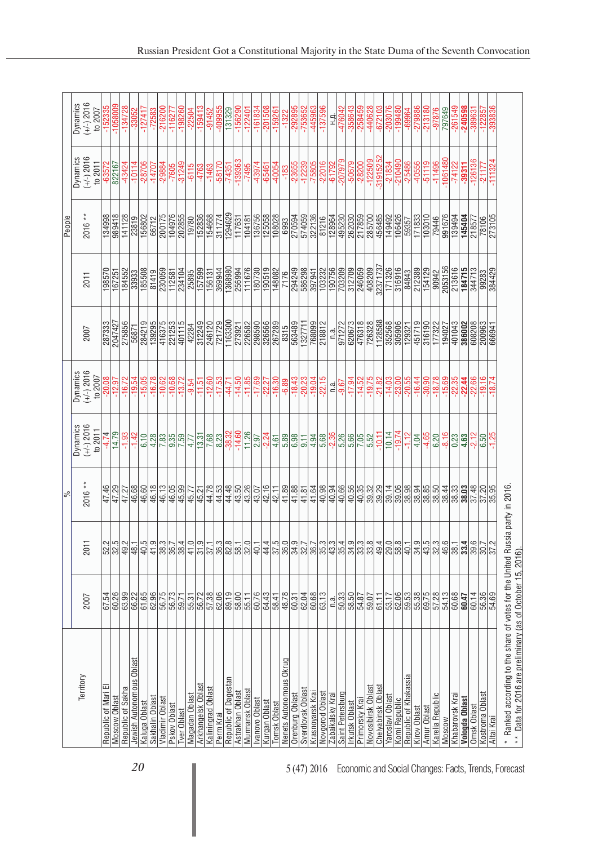|                                                                               |                         |                                                         | న        |                                |                         |                  |                         | People           |                         |                         |
|-------------------------------------------------------------------------------|-------------------------|---------------------------------------------------------|----------|--------------------------------|-------------------------|------------------|-------------------------|------------------|-------------------------|-------------------------|
| Territory                                                                     |                         |                                                         |          | Dynamics                       | Dynamics                |                  |                         |                  | Dynamics                | Dynamics                |
|                                                                               | 2007                    | 2011                                                    | $2016**$ | $(+/-)$ 2016<br>to $2011$      | $(+/-)$ 2016<br>to 2007 | 2007             | 2011                    | 2016 **          | $(+/-) 2016$<br>to 2011 | $(+/-)$ 2016<br>to 2007 |
| Republic of Mari                                                              |                         |                                                         | 47.46    |                                | $-20.08$                | 287333           | 198570                  | 134998           |                         |                         |
| Moscow Oblast                                                                 | 67.54<br>60.26          | $\frac{2}{3}$ $\frac{2}{3}$ $\frac{2}{3}$ $\frac{2}{3}$ | 47.29    | $-4.74$<br>14.79               | $-12.97$                | 2047427          | 167251                  | 989418           | $-63572$<br>822167      | $-152335$<br>$-1058009$ |
| Republic of Sakha                                                             | 63.99                   |                                                         | 47.27    | $-1.93$                        | $-16.72$                | 275856           | 184552                  | 141128           | $-43424$                | $-134728$               |
| Jewish Autonomous Oblast                                                      | 86.28<br>61.58<br>62.99 | 48.1                                                    | 46.68    | $-1.42$                        | $-19.54$                | 56871            | 33933                   | 23819            | $-10114$                | -33052                  |
| Kaluga Oblast                                                                 |                         | 40.5                                                    | 46.60    | 6.10                           | $-15.05$                | 284219           | 185508                  | 156802           | $-28706$                | $-127417$               |
| Sakhalin Oblast                                                               |                         | 41.9                                                    | 46.18    | $\frac{4.28}{7.83}$            | $-16.78$                | 139295           | 81419                   | 66712            | $-14707$                | $-72583$                |
| Vladimir Oblas                                                                | 56.75                   |                                                         | 46.13    |                                | $-10.62$                | 416375           | 230059                  | 200175           | $-29884$                | $-216200$               |
| Pskov Oblast                                                                  |                         | $\frac{38.3}{36.7}$                                     | 46.05    |                                | $-10.68$                | 221253           | 112581                  | 104976           | $-7605$                 | $-116277$               |
| <b>Iver Oblast</b>                                                            | 59.71                   | 38.4                                                    | 45.99    | 7.59                           | $-13.72$                | 401115           | 234104                  | 202855           | $-31249$                | $-198260$               |
| Magadan Oblast                                                                | 55.31                   | 41.0                                                    | 45.77    | 4.77                           | $-9.54$                 | 42284            | 25895                   | 19780            | $-6115$                 | $-22504$                |
| Arkhangelsk Oblast                                                            | 56.72                   |                                                         | 45.21    | 13.31                          | $-11.51$                | 312249           | 157599                  | 152836           | -4763                   | $-159413$               |
| Kaliningrad Oblast                                                            | 57.38                   | $\frac{31.9}{37.1}$                                     | 44.78    |                                | $-12.60$                | 246120           | 156131                  | 154668           | $-1463$                 | $-91452$                |
| Perm Krai                                                                     |                         |                                                         | 44.53    |                                | $-17.53$                | 721729           | 369944                  | 311774           | $-58170$                | $-409955$               |
| Republic of Dagestan                                                          | 62.19                   | ကြို့အမြား<br>မြို့ကြို့မြို့မြို့                      | 44.48    | $\frac{8.23}{-38.32}$          | $-44.71$                | 1163300          | 1368980                 | 1294629          | $-74351$                | 131329                  |
| Astrakhan Oblast                                                              |                         |                                                         | 43.50    |                                | $-14.50$                | 273921           | 256994                  | 117631           | $-139363$               | $-156290$               |
| Murmansk Oblas                                                                | $\frac{58.76}{55.76}$   |                                                         | 43.26    | 11.26                          | $-11.85$                | 226582           | 111676                  | 104181           | $-7495$                 |                         |
| Ivanovo Oblast                                                                |                         |                                                         |          | 2.97                           | $-17.69$                |                  | 180730                  | 136756           | $-43974$                | $-122401$               |
| Kurgan Oblast<br>Tomsk Oblast                                                 | 64.43                   |                                                         | 42.16    |                                |                         | 326566<br>267289 |                         | 125058<br>108028 | $\frac{-65461}{-40054}$ | $-201508$               |
|                                                                               |                         |                                                         | 42.11    | $-2.24$<br>4.61                | $-22.27$                |                  | $\frac{190519}{148082}$ |                  |                         | $-159261$               |
| Nenets Autonomous Okrug                                                       |                         |                                                         | 41.89    |                                | $-6.89$                 | 8315             | 7176                    | 6993             |                         | $-1322$                 |
| Orenburg Oblast                                                               | $\frac{58.41}{48.78}$   |                                                         | 41.88    | 5.89<br>6.98                   | $-18.43$                | 563489           | 294249                  | 270594           | $-23655$                | $-292895$               |
| Sverdlovsk Oblast                                                             |                         |                                                         | 41.81    | 9.11                           | $-20.23$                | 1327711          | 586298                  | 574059           |                         | -753652                 |
| Krasnoyarsk Krai                                                              | $\frac{1}{\frac{1}{2}}$ | 4 2 2 2 2 2 2 2 3 4<br>4 2 2 3 2 2 2 2 3 4 3 4          | 41.64    | 4.94                           | $-19.04$                | 768099           | 397941                  | 322136           | $-12239$<br>$-75805$    | -445963                 |
| Novgorod Oblast                                                               |                         |                                                         |          |                                | $-22.15$                | 218812           |                         | 81216            |                         | $-137596$               |
| Zabaikalsky Krai                                                              | n.a.                    |                                                         | 40.98    |                                | n.a.                    | n.a.             | 103232<br>190756        |                  | $-22016$<br>$-61792$    | 쿽                       |
| Saint Petersburg                                                              |                         | 35.4                                                    | 40.66    |                                | $-9.67$                 | 971272           |                         |                  | $-207979$               | 476042                  |
| <b>Irkutsk Oblast</b>                                                         | 50.33                   | 34.9                                                    | 40.56    | 68<br>5 <mark>28</mark><br>508 | $-17.94$                | 620673           | 703209                  | 495230<br>262030 | $-50679$                | -358643                 |
| Primorsky Krai                                                                | 54.87                   | 33.3                                                    | 40.35    | 7.05                           | $-14.52$                | 476318           | 246059                  | 217859           | $-28200$                | $-258459$               |
| Novosibirsk Oblast                                                            | 59.07                   | 33.8                                                    | 39.32    | 5.52                           | $-19.75$                | 726328           | 408209                  | 285700           | $-122509$               | 440628                  |
| Chelyabinsk Oblast                                                            | 61.11                   | 49.4                                                    |          | $-10.11$                       | $-21.82$                | 1128588          | 32371737                | 456485           | $-31915252$             | $-672103$               |
| Yaroslavl Oblast                                                              | 53.17                   | 29.0                                                    | 39.14    | 10.14                          | $-14.03$                | 352568           | 171326                  | 149492           | $-21834$                | $-203076$               |
| Komi Republic                                                                 | 62.06                   | 58.8                                                    | 39.06    | $-19.74$                       | $-23.00$                | 305906           | 316916                  | 106426           | $-210490$               | $-199480$               |
| Republic of Khakassia                                                         | 59.53                   | 40.1                                                    | 38.98    | $-1.12$                        | $-20.55$                | 129321           | 84843                   | 59357            | $-25486$                | $-69964$                |
| Kirov Oblast                                                                  | 55.38                   | 34.9                                                    | 38.94    | 4.04                           | $-16.44$                | 451719           | 212389                  | 171833           | $-40556$                | $-279886$               |
| Amur Oblast                                                                   |                         | 43.5                                                    | 38.85    | $-4.65$                        | $-30.90$                | 316190           |                         | 103010           | $-51119$                | $-213180$               |
| Karelia Republic                                                              | 57.28                   | 32.3                                                    | 38.50    | 6.20                           | $-18.78$                | 177322           | 90942                   | 79446            | $-11496$                | $-97876$                |
| <b>Moscow</b>                                                                 | 54.13                   | 46.6                                                    | 38.44    | $-8.16$                        | $-15.69$<br>$-22.35$    | 194027           | 2053156                 | 991676           | $-1061480$              | 797649                  |
| Khabarovsk Kraj                                                               | 60.68                   |                                                         |          | 0.23                           |                         | 401043           | 213616                  | 139494           | $-74122$                | $-261549$               |
| Vologda Oblast                                                                | 60.47                   | $\frac{336}{30.7}$                                      | 38.03    | 4.63                           | $-22.44$                | 386002           | 184715                  | 145404           | $-39311$                | $-240598$               |
| Omsk Oblast                                                                   | 60.14                   |                                                         | 37.48    | $-2.12$                        | $-22.66$                | 608208           | 344713                  | 218577           | $-126136$               | -389631                 |
| Kostroma Oblast                                                               | 56.36                   |                                                         | 37.20    | 6.50                           | $-19.16$                | 200963           | 99283                   | 78106            | $-21177$                | $-122857$               |
| Altai Krai                                                                    |                         | 37.2                                                    | 35.95    | $-1.25$                        | $-18.74$                | 666941           | 384429                  | 273105           | $-111324$               | -393836                 |
| * Ranked according to the share of votes for the United Russia party in 2016. |                         |                                                         |          |                                |                         |                  |                         |                  |                         |                         |
| ** Data for 2016 are preliminary (as of October 15, 2016).                    |                         |                                                         |          |                                |                         |                  |                         |                  |                         |                         |

20 5 (47) 2016 Economic and Social Changes: Facts, Trends, Forecast<br> **Economic and Social Changes: Facts**, Trends, Forecast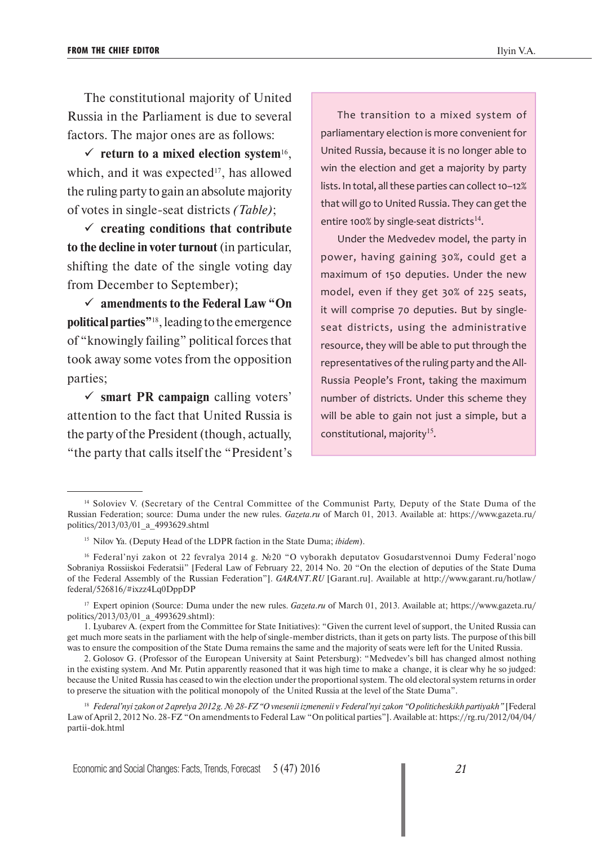The constitutional majority of United Russia in the Parliament is due to several factors. The major ones are as follows:

 $\checkmark$  return to a mixed election system<sup>16</sup>. which, and it was expected $17$ , has allowed the ruling party to gain an absolute majority of votes in single-seat districts *(Table)*;

 **creating conditions that contribute to the decline in voter turnout** (in particular, shifting the date of the single voting day from December to September);

 **amendments to the Federal Law "On political parties"**18, leading to the emergence of "knowingly failing" political forces that took away some votes from the opposition parties;

 **smart PR campaign** calling voters' attention to the fact that United Russia is the party of the President (though, actually, "the party that calls itself the "President's

The transition to a mixed system of parliamentary election is more convenient for United Russia, because it is no longer able to win the election and get a majority by party lists. In total, all these parties can collect 10–12% that will go to United Russia. They can get the entire 100% by single-seat districts<sup>14</sup>.

Under the Medvedev model, the party in power, having gaining 30%, could get a maximum of 150 deputies. Under the new model, even if they get 30% of 225 seats, it will comprise 70 deputies. But by singleseat districts, using the administrative resource, they will be able to put through the representatives of the ruling party and the All-Russia People's Front, taking the maximum number of districts. Under this scheme they will be able to gain not just a simple, but a constitutional, majority<sup>15</sup>.

<sup>14</sup> Soloviev V. (Secretary of the Central Committee of the Communist Party, Deputy of the State Duma of the Russian Federation; source: Duma under the new rules. *Gazeta.ru* of March 01, 2013. Available at: https://www.gazeta.ru/ politics/2013/03/01\_a\_4993629.shtml

<sup>15</sup> Nilov Ya. (Deputy Head of the LDPR faction in the State Duma; *ibidem*).

<sup>16</sup> Federal'nyi zakon ot 22 fevralya 2014 g. №20 "O vyborakh deputatov Gosudarstvennoi Dumy Federal'nogo Sobraniya Rossiiskoi Federatsii" [Federal Law of February 22, 2014 No. 20 "On the election of deputies of the State Duma of the Federal Assembly of the Russian Federation"]. *GARANT.RU* [Garant.ru]. Available at http://www.garant.ru/hotlaw/ federal/526816/#ixzz4Lq0DppDP

<sup>17</sup> Expert opinion (Source: Duma under the new rules. *Gazeta.ru* of March 01, 2013. Available at; https://www.gazeta.ru/ politics/2013/03/01\_a\_4993629.shtml):

<sup>1.</sup> Lyubarev A. (expert from the Committee for State Initiatives): "Given the current level of support, the United Russia can get much more seats in the parliament with the help of single-member districts, than it gets on party lists. The purpose of this bill was to ensure the composition of the State Duma remains the same and the majority of seats were left for the United Russia.

<sup>2.</sup> Golosov G. (Professor of the European University at Saint Petersburg): "Medvedev's bill has changed almost nothing in the existing system. And Mr. Putin apparently reasoned that it was high time to make a change, it is clear why he so judged: because the United Russia has ceased to win the election under the proportional system. The old electoral system returns in order to preserve the situation with the political monopoly of the United Russia at the level of the State Duma".

<sup>18</sup> *Federal'nyi zakon ot 2 aprelya 2012 g. № 28-FZ "O vnesenii izmenenii v Federal'nyi zakon "O politicheskikh partiyakh"* [Federal Law of April 2, 2012 No. 28-FZ "On amendments to Federal Law "On political parties"]. Available at: https://rg.ru/2012/04/04/ partii-dok.html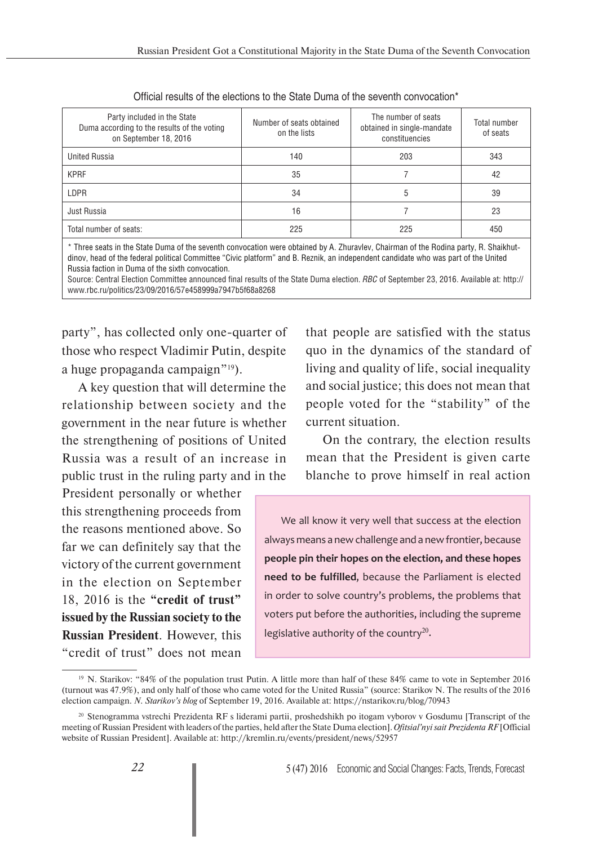| Party included in the State<br>Duma according to the results of the voting<br>on September 18, 2016 | Number of seats obtained<br>on the lists | The number of seats<br>obtained in single-mandate<br>constituencies | Total number<br>of seats |
|-----------------------------------------------------------------------------------------------------|------------------------------------------|---------------------------------------------------------------------|--------------------------|
| <b>United Russia</b>                                                                                | 140                                      | 203                                                                 | 343                      |
| <b>KPRF</b>                                                                                         | 35                                       |                                                                     | 42                       |
| LDPR                                                                                                | 34                                       | 5                                                                   | 39                       |
| Just Russia                                                                                         | 16                                       |                                                                     | 23                       |
| Total number of seats:                                                                              | 225                                      | 225                                                                 | 450                      |

\* Three seats in the State Duma of the seventh convocation were obtained by A. Zhuravlev, Chairman of the Rodina party, R. Shaikhutdinov, head of the federal political Committee "Civic platform" and B. Reznik, an independent candidate who was part of the United Russia faction in Duma of the sixth convocation.

Source: Central Election Committee announced final results of the State Duma election. *RBC* of September 23, 2016. Available at: http:// www.rbc.ru/politics/23/09/2016/57e458999a7947b5f68a8268

party", has collected only one-quarter of those who respect Vladimir Putin, despite a huge propaganda campaign"19).

A key question that will determine the relationship between society and the government in the near future is whether the strengthening of positions of United Russia was a result of an increase in public trust in the ruling party and in the

President personally or whether this strengthening proceeds from the reasons mentioned above. So far we can definitely say that the victory of the current government in the election on September 18, 2016 is the **"credit of trust" issued by the Russian society to the Russian President**. However, this "credit of trust" does not mean

that people are satisfied with the status quo in the dynamics of the standard of living and quality of life, social inequality and social justice; this does not mean that people voted for the "stability" of the current situation.

On the contrary, the election results mean that the President is given carte blanche to prove himself in real action

We all know it very well that success at the election always means a new challenge and a new frontier, because **people pin their hopes on the election, and these hopes need to be fulfilled**, because the Parliament is elected in order to solve country's problems, the problems that voters put before the authorities, including the supreme legislative authority of the country<sup>20</sup>.

<sup>&</sup>lt;sup>19</sup> N. Starikov: "84% of the population trust Putin. A little more than half of these 84% came to vote in September 2016 (turnout was 47.9%), and only half of those who came voted for the United Russia" (source: Starikov N. The results of the 2016 election campaign. *N. Starikov's blog* of September 19, 2016. Available at: https://nstarikov.ru/blog/70943

<sup>20</sup> Stenogramma vstrechi Prezidenta RF s liderami partii, proshedshikh po itogam vyborov v Gosdumu [Transcript of the meeting of Russian President with leaders of the parties, held after the State Duma election]. *Ofitsial'nyi sait Prezidenta RF* [Official website of Russian President]. Available at: http://kremlin.ru/events/president/news/52957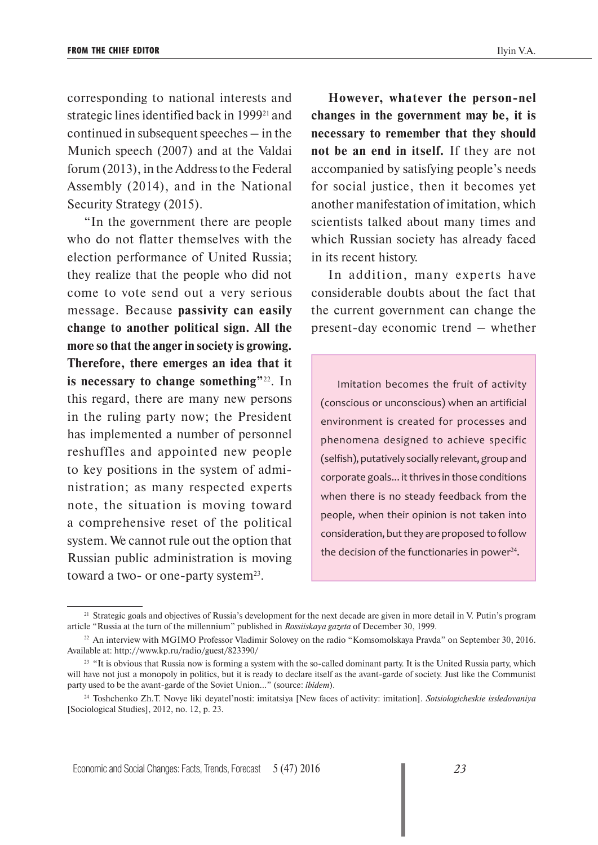corresponding to national interests and strategic lines identified back in 1999<sup>21</sup> and continued in subsequent speeches – in the Munich speech (2007) and at the Valdai forum (2013), in the Address to the Federal Assembly (2014), and in the National Security Strategy (2015).

"In the government there are people who do not flatter themselves with the election performance of United Russia; they realize that the people who did not come to vote send out a very serious message. Because **passivity can easily change to another political sign. All the more so that the anger in society is growing. Therefore, there emerges an idea that it is necessary to change something"**22. In this regard, there are many new persons in the ruling party now; the President has implemented a number of personnel reshuffles and appointed new people to key positions in the system of administration; as many respected experts note, the situation is moving toward a comprehensive reset of the political system. We cannot rule out the option that Russian public administration is moving toward a two- or one-party system<sup>23</sup>.

**However, whatever the person-nel changes in the government may be, it is necessary to remember that they should not be an end in itself.** If they are not accompanied by satisfying people's needs for social justice, then it becomes yet another manifestation of imitation, which scientists talked about many times and which Russian society has already faced in its recent history.

In addition, many experts have considerable doubts about the fact that the current government can change the present-day economic trend – whether

Imitation becomes the fruit of activity (conscious or unconscious) when an artificial environment is created for processes and phenomena designed to achieve specific (selfish), putatively socially relevant, group and corporate goals... it thrives in those conditions when there is no steady feedback from the people, when their opinion is not taken into consideration, but they are proposed to follow the decision of the functionaries in power $24$ .

<sup>&</sup>lt;sup>21</sup> Strategic goals and objectives of Russia's development for the next decade are given in more detail in V. Putin's program article "Russia at the turn of the millennium" published in *Rossiiskaya gazeta* of December 30, 1999.

<sup>&</sup>lt;sup>22</sup> An interview with MGIMO Professor Vladimir Solovey on the radio "Komsomolskaya Pravda" on September 30, 2016. Available at: http://www.kp.ru/radio/guest/823390/

<sup>&</sup>lt;sup>23</sup> "It is obvious that Russia now is forming a system with the so-called dominant party. It is the United Russia party, which will have not just a monopoly in politics, but it is ready to declare itself as the avant-garde of society. Just like the Communist party used to be the avant-garde of the Soviet Union..." (source: *ibidem*).

<sup>24</sup> Toshchenko Zh.T. Novye liki deyatel'nosti: imitatsiya [New faces of activity: imitation]. *Sotsiologicheskie issledovaniya*  [Sociological Studies], 2012, no. 12, p. 23.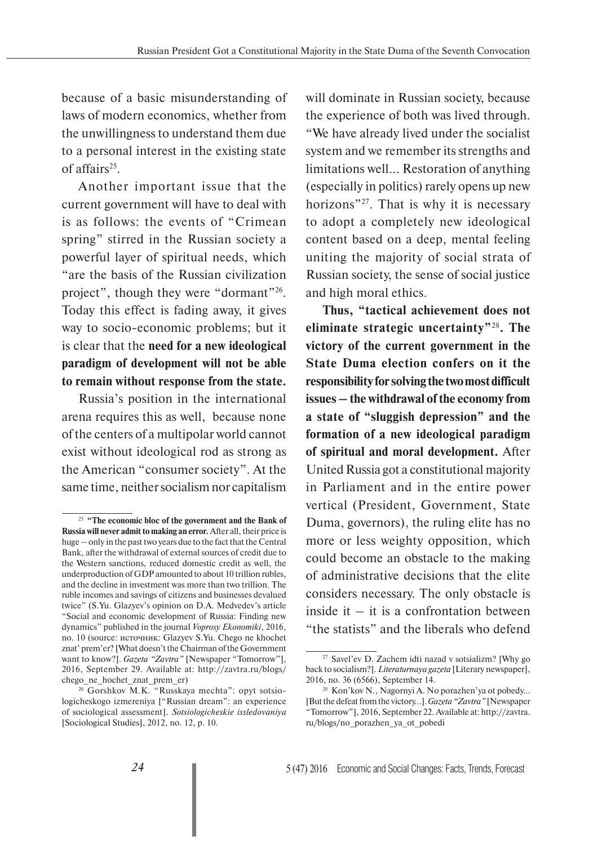because of a basic misunderstanding of laws of modern economics, whether from the unwillingness to understand them due to a personal interest in the existing state of affairs<sup>25</sup>.

Another important issue that the current government will have to deal with is as follows: the events of "Crimean spring" stirred in the Russian society a powerful layer of spiritual needs, which "are the basis of the Russian civilization project", though they were "dormant"<sup>26</sup>. Today this effect is fading away, it gives way to socio-economic problems; but it is clear that the **need for a new ideological paradigm of development will not be able to remain without response from the state.**

Russia's position in the international arena requires this as well, because none of the centers of a multipolar world cannot exist without ideological rod as strong as the American "consumer society". At the same time, neither socialism nor capitalism will dominate in Russian society, because the experience of both was lived through. "We have already lived under the socialist system and we remember its strengths and limitations well... Restoration of anything (especially in politics) rarely opens up new horizons"<sup>27</sup>. That is why it is necessary to adopt a completely new ideological content based on a deep, mental feeling uniting the majority of social strata of Russian society, the sense of social justice and high moral ethics.

**Thus, "tactical achievement does not eliminate strategic uncertainty"**<sup>28</sup>**<sup>6</sup> . The victory of the current government in the State Duma election confers on it the responsibility for solving the two most difficult issues – the withdrawal of the economy from a state of "sluggish depression" and the formation of a new ideological paradigm of spiritual and moral development.** After United Russia got a constitutional majority in Parliament and in the entire power vertical (President, Government, State Duma, governors), the ruling elite has no more or less weighty opposition, which could become an obstacle to the making of administrative decisions that the elite considers necessary. The only obstacle is inside it  $-$  it is a confrontation between "the statists" and the liberals who defend

<sup>25</sup> **"The economic bloc of the government and the Bank of Russia will never admit to making an error.** After all, their price is huge – only in the past two years due to the fact that the Central Bank, after the withdrawal of external sources of credit due to the Western sanctions, reduced domestic credit as well, the underproduction of GDP amounted to about 10 trillion rubles, and the decline in investment was more than two trillion. The ruble incomes and savings of citizens and businesses devalued twice" (S.Yu. Glazyev's opinion on D.A. Medvedev's article "Social and economic development of Russia: Finding new dynamics" published in the journal *Voprosy Ekonomiki*, 2016, no. 10 (source: источник: Glazyev S.Yu. Chego ne khochet znat' prem'er? [What doesn't the Chairman of the Government want to know?]. *Gazeta "Zavtra"* [Newspaper "Tomorrow"], 2016, September 29. Available at: http://zavtra.ru/blogs/ chego ne hochet znat prem er)

<sup>26</sup> Gorshkov M.K. "Russkaya mechta": opyt sotsiologicheskogo izmereniya ["Russian dream": an experience of sociological assessment]. *Sotsiologicheskie issledovaniya* [Sociological Studies], 2012, no. 12, p. 10.

<sup>27</sup> Savel'ev D. Zachem idti nazad v sotsializm? [Why go back to socialism?]. *Literaturnaya gazeta* [Literary newspaper], 2016, no. 36 (6566), September 14.

<sup>28</sup> Kon'kov N., Nagornyi A. No porazhen'ya ot pobedy... [But the defeat from the victory…]. *Gazeta "Zavtra"* [Newspaper "Tomorrow"], 2016, September 22. Available at: http://zavtra. ru/blogs/no\_porazhen\_ya\_ot\_pobedi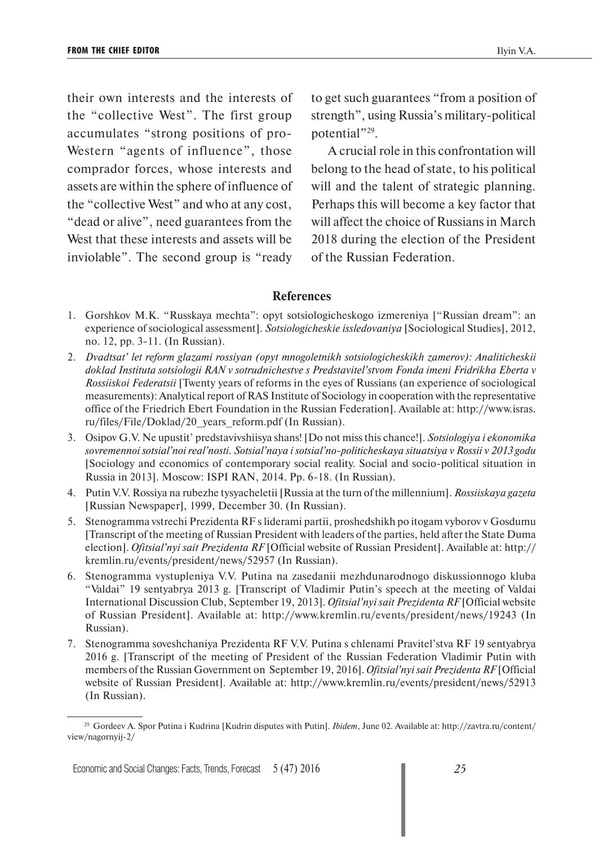their own interests and the interests of the "collective West". The first group accumulates "strong positions of pro-Western "agents of influence", those comprador forces, whose interests and assets are within the sphere of influence of the "collective West" and who at any cost, "dead or alive", need guarantees from the West that these interests and assets will be inviolable". The second group is "ready to get such guarantees "from a position of strength", using Russia's military-political potential"29.

A crucial role in this confrontation will belong to the head of state, to his political will and the talent of strategic planning. Perhaps this will become a key factor that will affect the choice of Russians in March 2018 during the election of the President of the Russian Federation.

## **References**

- 1. Gorshkov M.K. "Russkaya mechta": opyt sotsiologicheskogo izmereniya ["Russian dream": an experience of sociological assessment]. *Sotsiologicheskie issledovaniya* [Sociological Studies], 2012, no. 12, pp. 3-11. (In Russian).
- 2. *Dvadtsat' let reform glazami rossiyan (opyt mnogoletnikh sotsiologicheskikh zamerov): Analiticheskii doklad Instituta sotsiologii RAN v sotrudnichestve s Predstavitel'stvom Fonda imeni Fridrikha Eberta v Rossiiskoi Federatsii* [Twenty years of reforms in the eyes of Russians (an experience of sociological measurements): Analytical report of RAS Institute of Sociology in cooperation with the representative office of the Friedrich Ebert Foundation in the Russian Federation]. Available at: http://www.isras. ru/files/File/Doklad/20\_years\_reform.pdf (In Russian).
- 3. Osipov G.V. Ne upustit' predstavivshiisya shans! [Do not miss this chance!]. *Sotsiologiya i ekonomika sovremennoi sotsial'noi real'nosti. Sotsial'naya i sotsial'no-politicheskaya situatsiya v Rossii v 2013 godu* [Sociology and economics of contemporary social reality. Social and socio-political situation in Russia in 2013]. Moscow: ISPI RAN, 2014. Pp. 6-18. (In Russian).
- 4. Putin V.V. Rossiya na rubezhe tysyacheletii [Russia at the turn of the millennium]. *Rossiiskaya gazeta* [Russian Newspaper], 1999, December 30. (In Russian).
- 5. Stenogramma vstrechi Prezidenta RF s liderami partii, proshedshikh po itogam vyborov v Gosdumu [Transcript of the meeting of Russian President with leaders of the parties, held after the State Duma election]. *Ofitsial'nyi sait Prezidenta RF* [Official website of Russian President]. Available at: http:// kremlin.ru/events/president/news/52957 (In Russian).
- 6. Stenogramma vystupleniya V.V. Putina na zasedanii mezhdunarodnogo diskussionnogo kluba "Valdai" 19 sentyabrya 2013 g. [Transcript of Vladimir Putin's speech at the meeting of Valdai International Discussion Club, September 19, 2013]. *Ofitsial'nyi sait Prezidenta RF* [Official website of Russian President]. Available at: http://www.kremlin.ru/events/president/news/19243 (In Russian).
- 7. Stenogramma soveshchaniya Prezidenta RF V.V. Putina s chlenami Pravitel'stva RF 19 sentyabrya 2016 g. [Transcript of the meeting of President of the Russian Federation Vladimir Putin with members of the Russian Government on September 19, 2016]. *Ofitsial'nyi sait Prezidenta RF* [Official website of Russian President]. Available at: http://www.kremlin.ru/events/president/news/52913 (In Russian).

<sup>29</sup> Gordeev A. Spor Putina i Kudrina [Kudrin disputes with Putin]. *Ibidem*, June 02. Available at: http://zavtra.ru/content/ view/nagornyij-2/